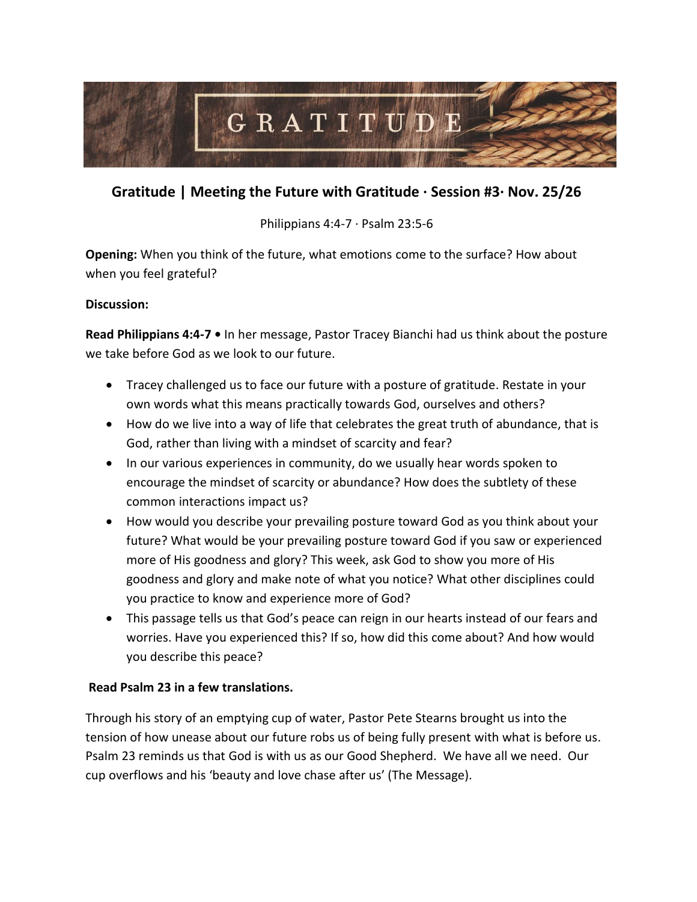

# **Gratitude | Meeting the Future with Gratitude ∙ Session #3∙ Nov. 25/26**

Philippians 4:4-7 ∙ Psalm 23:5-6

**Opening:** When you think of the future, what emotions come to the surface? How about when you feel grateful?

## **Discussion:**

**Read Philippians 4:4-7 •** In her message, Pastor Tracey Bianchi had us think about the posture we take before God as we look to our future.

- Tracey challenged us to face our future with a posture of gratitude. Restate in your own words what this means practically towards God, ourselves and others?
- How do we live into a way of life that celebrates the great truth of abundance, that is God, rather than living with a mindset of scarcity and fear?
- In our various experiences in community, do we usually hear words spoken to encourage the mindset of scarcity or abundance? How does the subtlety of these common interactions impact us?
- How would you describe your prevailing posture toward God as you think about your future? What would be your prevailing posture toward God if you saw or experienced more of His goodness and glory? This week, ask God to show you more of His goodness and glory and make note of what you notice? What other disciplines could you practice to know and experience more of God?
- This passage tells us that God's peace can reign in our hearts instead of our fears and worries. Have you experienced this? If so, how did this come about? And how would you describe this peace?

## **Read Psalm 23 in a few translations.**

Through his story of an emptying cup of water, Pastor Pete Stearns brought us into the tension of how unease about our future robs us of being fully present with what is before us. Psalm 23 reminds us that God is with us as our Good Shepherd. We have all we need. Our cup overflows and his 'beauty and love chase after us' (The Message).